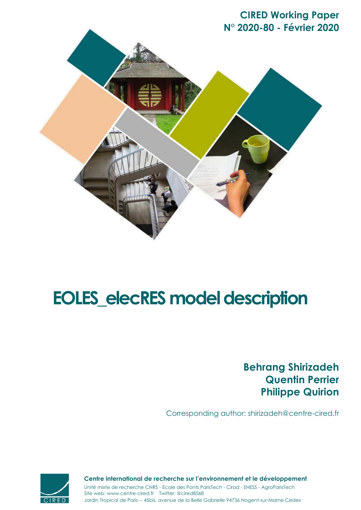



# **EOLES\_elecRES model description**

**Behrang Shirizadeh Quentin Perrier Philippe Quirion**

Corresponding author: shirizadeh@centre-cired.fr



Jardin Tropical de Paris -- 45bis, avenue de la Belle Gabrielle 94736 Nogent-sur-Marne Cedex Site web: www.centre-cired.fr Twitter: @cired8568 **Centre international de recherche sur l'environnement et le développement** Unité mixte de recherche CNRS - Ecole des Ponts ParisTech - Cirad - EHESS - AgroParisTech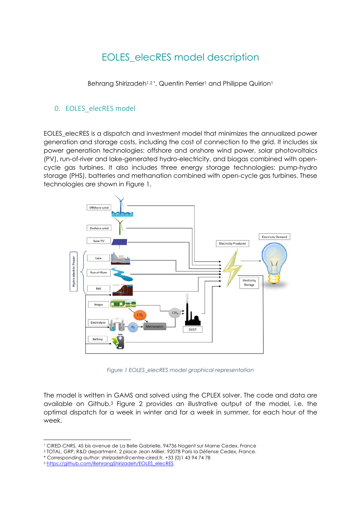# EOLES\_elecRES model description

Behrang Shirizadeh<sup>1,2\*</sup>, Quentin Perrier<sup>1</sup> and Philippe Quirion<sup>1</sup>

### 0. EOLES elecRES model

EOLES\_elecRES is a dispatch and investment model that minimizes the annualized power generation and storage costs, including the cost of connection to the grid. It includes six power generation technologies: offshore and onshore wind power, solar photovoltaics (PV), run-of-river and lake-generated hydro-electricity, and biogas combined with opencycle gas turbines. It also includes three energy storage technologies: pump-hydro storage (PHS), batteries and methanation combined with open-cycle gas turbines. These technologies are shown in Figure 1.



*Figure 1 EOLES\_elecRES model graphical representation*

The model is written in GAMS and solved using the CPLEX solver. The code and data are available on Github.3 Figure 2 provides an illustrative output of the model, i.e. the optimal dispatch for a week in winter and for a week in summer, for each hour of the week.

<sup>1</sup> CIRED-CNRS, 45 bis avenue de La Belle Gabrielle, 94736 Nogent sur Marne Cedex, France

<sup>2</sup> TOTAL, GRP, R&D department, 2 place Jean Millier, 92078 Paris la Défense Cedex, France.

<sup>\*</sup> Corresponding author: shirizadeh@centre-cired.fr, +33 (0)1 43 94 74 78

<sup>3</sup> https://github.com/BehrangShirizadeh/EOLES\_elecRES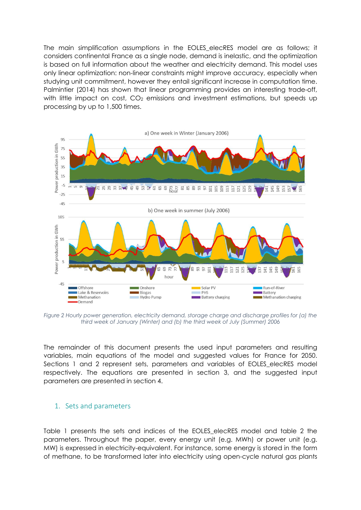The main simplification assumptions in the EOLES\_elecRES model are as follows; it considers continental France as a single node, demand is inelastic, and the optimization is based on full information about the weather and electricity demand. This model uses only linear optimization: non-linear constraints might improve accuracy, especially when studying unit commitment, however they entail significant increase in computation time. Palmintier (2014) has shown that linear programming provides an interesting trade-off, with little impact on cost,  $CO<sub>2</sub>$  emissions and investment estimations, but speeds up processing by up to 1,500 times.



*Figure 2 Hourly power generation, electricity demand, storage charge and discharge profiles for (a) the third week of January (Winter) and (b) the third week of July (Summer) 2006*

The remainder of this document presents the used input parameters and resulting variables, main equations of the model and suggested values for France for 2050. Sections 1 and 2 represent sets, parameters and variables of EOLES\_elecRES model respectively. The equations are presented in section 3, and the suggested input parameters are presented in section 4.

#### 1. Sets and parameters

Table 1 presents the sets and indices of the EOLES\_elecRES model and table 2 the parameters. Throughout the paper, every energy unit (e.g. MWh) or power unit (e.g. MW) is expressed in electricity-equivalent. For instance, some energy is stored in the form of methane, to be transformed later into electricity using open-cycle natural gas plants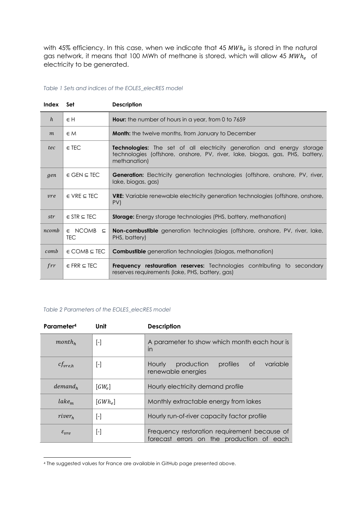with 45% efficiency. In this case, when we indicate that 45  $MWh_e$  is stored in the natural gas network, it means that 100 MWh of methane is stored, which will allow 45  $MWh_e$  of electricity to be generated.

#### *Table 1 Sets and indices of the EOLES\_elecRES model*

| Index      | Set                                   | <b>Description</b>                                                                                                                                                            |
|------------|---------------------------------------|-------------------------------------------------------------------------------------------------------------------------------------------------------------------------------|
| h          | $\in H$                               | <b>Hour:</b> the number of hours in a year, from 0 to 7659                                                                                                                    |
| m          | $\in M$                               | <b>Month:</b> the twelve months, from January to December                                                                                                                     |
| tec        | $\in$ TEC                             | <b>Technologies:</b> The set of all electricity generation and energy storage<br>technologies (offshore, onshore, PV, river, lake, biogas, gas, PHS, battery,<br>methanation) |
| gen        | $\in$ GEN $\subseteq$ TEC             | <b>Generation:</b> Electricity generation technologies (offshore, onshore, PV, river,<br>lake, biogas, gas)                                                                   |
| <i>vre</i> | $\in$ VRE $\subseteq$ TEC             | <b>VRE:</b> Variable renewable electricity generation technologies (offshore, onshore,<br>PV                                                                                  |
| str        | $\in$ STR $\subseteq$ TEC             | <b>Storage:</b> Energy storage technologies (PHS, battery, methanation)                                                                                                       |
| ncomb      | $\in$ NCOMB $\subseteq$<br><b>TEC</b> | <b>Non-combustible</b> generation technologies (offshore, onshore, PV, river, lake,<br>PHS, battery)                                                                          |
| comb       | $\in$ COMB $\subseteq$ TEC            | <b>Combustible</b> generation technologies (biogas, methanation)                                                                                                              |
| $\int r r$ | $E$ FRR $\subseteq$ TEC               | <b>Frequency restauration reserves:</b> Technologies contributing to secondary<br>reserves requirements (lake, PHS, battery, gas)                                             |

#### *Table 2 Parameters of the EOLES\_elecRES model*

| Parameter <sup>4</sup>     | Unit                        | <b>Description</b>                                                                        |  |  |  |  |  |
|----------------------------|-----------------------------|-------------------------------------------------------------------------------------------|--|--|--|--|--|
| $month_h$                  | $[\hbox{-}]$                | A parameter to show which month each hour is<br>in                                        |  |  |  |  |  |
| $cf_{vre.h}$               | $[\cdot]$                   | variable<br>production<br>profiles<br>of<br>Hourly<br>renewable energies                  |  |  |  |  |  |
| $demand_h$                 | $\lceil GW_{e} \rceil$      | Hourly electricity demand profile                                                         |  |  |  |  |  |
| $lake_m$                   | $\left[ GWh_{\rho }\right]$ | Monthly extractable energy from lakes                                                     |  |  |  |  |  |
| river <sub>h</sub>         | -1                          | Hourly run-of-river capacity factor profile                                               |  |  |  |  |  |
| $\varepsilon_{\text{pre}}$ | $[\cdot]$                   | Frequency restoration requirement because of<br>forecast errors on the production of each |  |  |  |  |  |

<sup>4</sup> The suggested values for France are available in GitHub page presented above.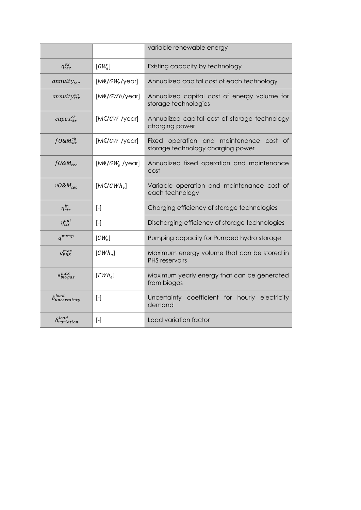|                               |                                                                                                                                                                                                                                                                                                                                                                                                                                                                                                                                                                                                                                            | variable renewable energy                                                             |  |  |  |  |  |
|-------------------------------|--------------------------------------------------------------------------------------------------------------------------------------------------------------------------------------------------------------------------------------------------------------------------------------------------------------------------------------------------------------------------------------------------------------------------------------------------------------------------------------------------------------------------------------------------------------------------------------------------------------------------------------------|---------------------------------------------------------------------------------------|--|--|--|--|--|
| $q_{tec}^{ex}$                | $\lceil GW_e \rceil$                                                                                                                                                                                                                                                                                                                                                                                                                                                                                                                                                                                                                       | Existing capacity by technology                                                       |  |  |  |  |  |
| $annuity_{tec}$               | $[M \in G W_e$ /year]                                                                                                                                                                                                                                                                                                                                                                                                                                                                                                                                                                                                                      | Annualized capital cost of each technology                                            |  |  |  |  |  |
| annuity $g_{str}^{en}$        | $[M \in GWh/year]$                                                                                                                                                                                                                                                                                                                                                                                                                                                                                                                                                                                                                         | Annualized capital cost of energy volume for<br>storage technologies                  |  |  |  |  |  |
| $capex_{str}^{ch}$            | $[M \in GW$ /year]                                                                                                                                                                                                                                                                                                                                                                                                                                                                                                                                                                                                                         | Annualized capital cost of storage technology<br>charging power                       |  |  |  |  |  |
| $f0$ &M $_{str}^{ch}$         | $[M \in GW$ /year]                                                                                                                                                                                                                                                                                                                                                                                                                                                                                                                                                                                                                         | Fixed<br>operation and maintenance<br>cost<br>0t<br>storage technology charging power |  |  |  |  |  |
| $f0\&M_{tec}$                 | $[M \in G W_e$ /year]                                                                                                                                                                                                                                                                                                                                                                                                                                                                                                                                                                                                                      | Annualized fixed operation and maintenance<br>cost                                    |  |  |  |  |  |
| $v0$ & $M_{tec}$              | $[M \in / GWh_e]$                                                                                                                                                                                                                                                                                                                                                                                                                                                                                                                                                                                                                          | Variable operation and maintenance cost of<br>each technology                         |  |  |  |  |  |
| $\eta_{str}^{in}$             | $\left[\begin{array}{c}\n\end{array}\right]$                                                                                                                                                                                                                                                                                                                                                                                                                                                                                                                                                                                               | Charging efficiency of storage technologies                                           |  |  |  |  |  |
| $\eta_{str}^{out}$            | $\left[\begin{array}{c} - \end{array}\right]$                                                                                                                                                                                                                                                                                                                                                                                                                                                                                                                                                                                              | Discharging efficiency of storage technologies                                        |  |  |  |  |  |
| $q^{pump}$                    | $[GW_e]$                                                                                                                                                                                                                                                                                                                                                                                                                                                                                                                                                                                                                                   | Pumping capacity for Pumped hydro storage                                             |  |  |  |  |  |
| $e_{PHS}^{max}$               | $[GWh_e]$                                                                                                                                                                                                                                                                                                                                                                                                                                                                                                                                                                                                                                  | Maximum energy volume that can be stored in<br><b>PHS</b> reservoirs                  |  |  |  |  |  |
| $e_{biogas}^{max}$            | $[TWh_e]$                                                                                                                                                                                                                                                                                                                                                                                                                                                                                                                                                                                                                                  | Maximum yearly energy that can be generated<br>from biogas                            |  |  |  |  |  |
| $\delta_{uncertainty}^{load}$ | $\left[\begin{array}{c}\n\end{array}\right]$                                                                                                                                                                                                                                                                                                                                                                                                                                                                                                                                                                                               | coefficient for hourly electricity<br>Uncertainty<br>demand                           |  |  |  |  |  |
| $\delta_{variation}^{load}$   | $\left[ -\right] % \includegraphics[width=0.9\textwidth]{images/TrDiS/NR_WI_1.png} % \caption{The first two different values of $1$ and $1\leq i \leq n$ (left) and the second two different values of $1$ (right) and $1\leq i \leq n$ (right) and the second two different values of $1$ (right) and $1\leq i \leq n$ (right) and the second two different values of $1$ (right) and $1\leq i \leq n$ (right) and the third two different values of $1$ (right) and $1\leq i \leq n$ (right) and the third two different values of $1$ (right) and $1\leq i \leq n$ (right) and the third two different values of $1$ (right) and $1\le$ | Load variation factor                                                                 |  |  |  |  |  |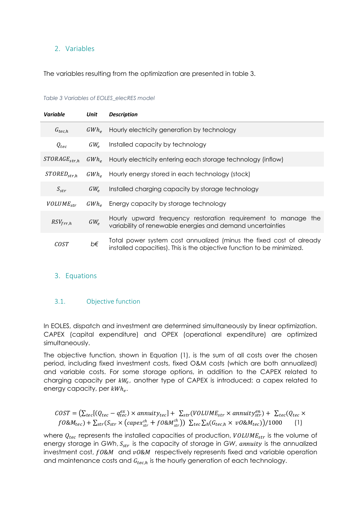### 2. Variables

The variables resulting from the optimization are presented in table 3.

#### *Table 3 Variables of EOLES\_elecRES model*

| Variable          | Unit           | <b>Description</b>                                                                                                                            |
|-------------------|----------------|-----------------------------------------------------------------------------------------------------------------------------------------------|
| $G_{tec,h}$       |                | GWh <sub>e</sub> Hourly electricity generation by technology                                                                                  |
| $Q_{tec}$         | $GW_{\rho}$    | Installed capacity by technology                                                                                                              |
| $STORAGE_{str.h}$ | $GWh_{\alpha}$ | Hourly electricity entering each storage technology (inflow)                                                                                  |
| $STORED_{str.h}$  |                | GWh <sub>e</sub> Hourly energy stored in each technology (stock)                                                                              |
| $S_{str}$         | $GW_{\circ}$   | Installed charging capacity by storage technology                                                                                             |
| $VOLUME_{str}$    |                | GWh <sub>e</sub> Energy capacity by storage technology                                                                                        |
| $RSV_{frr,h}$     | $GW_e$         | Hourly upward frequency restoration requirement to manage the<br>variability of renewable energies and demand uncertainties                   |
| COST              | b€             | Total power system cost annualized (minus the fixed cost of already<br>installed capacities). This is the objective function to be minimized. |

#### 3. Equations

#### 3.1. Objective function

In EOLES, dispatch and investment are determined simultaneously by linear optimization. CAPEX (capital expenditure) and OPEX (operational expenditure) are optimized simultaneously.

The objective function, shown in Equation (1), is the sum of all costs over the chosen period, including fixed investment costs, fixed O&M costs (which are both annualized) and variable costs. For some storage options, in addition to the CAPEX related to charging capacity per  $kW_e$ , another type of CAPEX is introduced: a capex related to energy capacity, per  $kWh_e$ .

$$
COST = (\sum_{tec} [Q_{tec} - q_{tec}^{ex}) \times annuity_{tec}] + \sum_{str} (VOLUME_{str} \times annuity_{str}^{en}) + \sum_{tec} (Q_{tec} \times f0 \& M_{tec}) + \sum_{str} (S_{str} \times (cape_{str} + f0 \& M_{str}^{ch})) \sum_{tec} \sum_{h} (G_{tec,h} \times v0 \& M_{tec})) / 1000
$$
 (1)

where  $Q_{tec}$  represents the installed capacities of production,  $VOLUME_{str}$  is the volume of energy storage in *GWh*,  $S_{str}$  is the capacity of storage in *GW*, annuity is the annualized investment cost,  $f0$ &M and  $v0$ &M respectively represents fixed and variable operation and maintenance costs and  $G_{tec,h}$  is the hourly generation of each technology.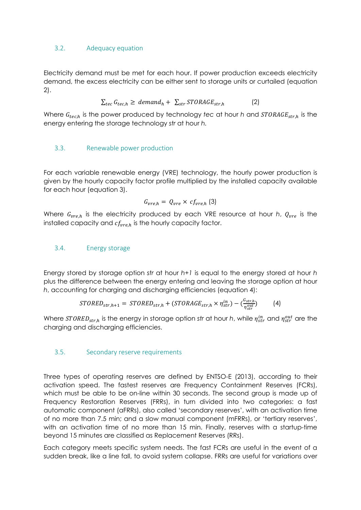### 3.2. Adequacy equation

Electricity demand must be met for each hour. If power production exceeds electricity demand, the excess electricity can be either sent to storage units or curtailed (equation 2).

$$
\sum_{tec} G_{tec,h} \geq demand_h + \sum_{str} STORAGE_{str,h}
$$
 (2)

Where  $G_{tec,h}$  is the power produced by technology *tec* at hour *h* and *STORAGE<sub>str, h</sub>* is the energy entering the storage technology *str* at hour *h.* 

# 3.3. Renewable power production

For each variable renewable energy (VRE) technology, the hourly power production is given by the hourly capacity factor profile multiplied by the installed capacity available for each hour (equation 3).

$$
G_{vre,h} = Q_{vre} \times cf_{vre,h} (3)
$$

Where  $G_{vre,h}$  is the electricity produced by each VRE resource at hour *h*,  $Q_{vre}$  is the installed capacity and  $cf_{vre.h}$  is the hourly capacity factor.

# 3.4. Energy storage

Energy stored by storage option *str* at hour *h+1* is equal to the energy stored at hour *h* plus the difference between the energy entering and leaving the storage option at hour *h*, accounting for charging and discharging efficiencies (equation 4):

$$
STORED_{str,h+1} = STORED_{str,h} + (STORAGE_{str,h} \times \eta_{str}^{in}) - \left(\frac{G_{str,h}}{\eta_{str}^{out}}\right) \tag{4}
$$

Where STORED<sub>str,h</sub> is the energy in storage option str at hour *h*, while  $\eta_{str}^{in}$  and  $\eta_{str}^{out}$  are the charging and discharging efficiencies.

#### 3.5. Secondary reserve requirements

Three types of operating reserves are defined by ENTSO-E (2013), according to their activation speed. The fastest reserves are Frequency Containment Reserves (FCRs), which must be able to be on-line within 30 seconds. The second group is made up of Frequency Restoration Reserves (FRRs), in turn divided into two categories: a fast automatic component (aFRRs), also called 'secondary reserves', with an activation time of no more than 7.5 min; and a slow manual component (mFRRs), or 'tertiary reserves', with an activation time of no more than 15 min. Finally, reserves with a startup-time beyond 15 minutes are classified as Replacement Reserves (RRs).

Each category meets specific system needs. The fast FCRs are useful in the event of a sudden break, like a line fall, to avoid system collapse. FRRs are useful for variations over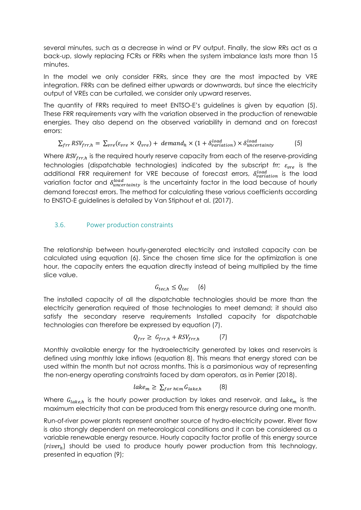several minutes, such as a decrease in wind or PV output. Finally, the slow RRs act as a back-up, slowly replacing FCRs or FRRs when the system imbalance lasts more than 15 minutes.

In the model we only consider FRRs, since they are the most impacted by VRE integration. FRRs can be defined either upwards or downwards, but since the electricity output of VREs can be curtailed, we consider only upward reserves.

The quantity of FRRs required to meet ENTSO-E's guidelines is given by equation (5). These FRR requirements vary with the variation observed in the production of renewable energies. They also depend on the observed variability in demand and on forecast errors:

$$
\sum_{frr} RSV_{frr,h} = \sum_{vre} (\varepsilon_{vre} \times Q_{vre}) + demand_h \times (1 + \delta_{variation}^{load}) \times \delta_{uncertainty}^{load}
$$
 (5)

Where  $RSV_{frr,h}$  is the required hourly reserve capacity from each of the reserve-providing technologies (dispatchable technologies) indicated by the subscript *frr;*  $\varepsilon_{vre}$  is the additional FRR requirement for VRE because of forecast errors,  $\delta_{variation}^{load}$  is the load variation factor and  $\delta_{uncertainty}^{load}$  is the uncertainty factor in the load because of hourly demand forecast errors. The method for calculating these various coefficients according to ENSTO-E guidelines is detailed by Van Stiphout et al. (2017).

#### 3.6. Power production constraints

The relationship between hourly-generated electricity and installed capacity can be calculated using equation (6). Since the chosen time slice for the optimization is one hour, the capacity enters the equation directly instead of being multiplied by the time slice value.

$$
G_{tec,h} \leq Q_{tec} \qquad (6)
$$

The installed capacity of all the dispatchable technologies should be more than the electricity generation required of those technologies to meet demand; it should also satisfy the secondary reserve requirements Installed capacity for dispatchable technologies can therefore be expressed by equation (7).

$$
Q_{frr} \geq G_{frr,h} + RSV_{frr,h} \tag{7}
$$

Monthly available energy for the hydroelectricity generated by lakes and reservoirs is defined using monthly lake inflows (equation 8). This means that energy stored can be used within the month but not across months. This is a parsimonious way of representing the non-energy operating constraints faced by dam operators, as in Perrier (2018).

$$
lake_m \geq \sum_{for \, h \in m} G_{lake,h} \tag{8}
$$

Where  $G_{\text{take},h}$  is the hourly power production by lakes and reservoir, and lake<sub>m</sub> is the maximum electricity that can be produced from this energy resource during one month.

Run-of-river power plants represent another source of hydro-electricity power. River flow is also strongly dependent on meteorological conditions and it can be considered as a variable renewable energy resource. Hourly capacity factor profile of this energy source  $(river_h)$  should be used to produce hourly power production from this technology, presented in equation (9);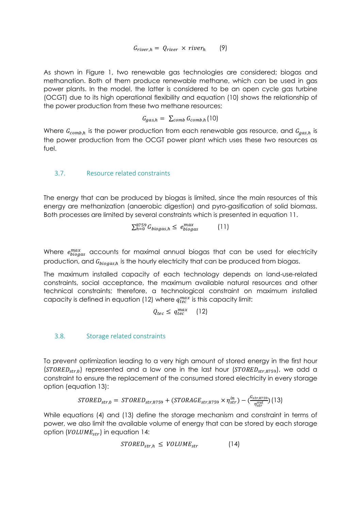$$
G_{river,h} = Q_{river} \times river_h \qquad (9)
$$

As shown in Figure 1, two renewable gas technologies are considered; biogas and methanation. Both of them produce renewable methane, which can be used in gas power plants. In the model, the latter is considered to be an open cycle gas turbine (OCGT) due to its high operational flexibility and equation (10) shows the relationship of the power production from these two methane resources;

$$
G_{gas,h} = \sum_{comb} G_{comb,h} (10)
$$

Where  $G_{comb,h}$  is the power production from each renewable gas resource, and  $G_{gas,h}$  is the power production from the OCGT power plant which uses these two resources as fuel.

#### 3.7. Resource related constraints

The energy that can be produced by biogas is limited, since the main resources of this energy are methanization (anaerobic digestion) and pyro-gasification of solid biomass. Both processes are limited by several constraints which is presented in equation 11.

$$
\sum_{h=0}^{8759} G_{biogas,h} \le e_{biogas}^{max} \tag{11}
$$

Where  $e_{biogas}^{max}$  accounts for maximal annual biogas that can be used for electricity production, and  $G_{biogas,h}$  is the hourly electricity that can be produced from biogas.

The maximum installed capacity of each technology depends on land-use-related constraints, social acceptance, the maximum available natural resources and other technical constraints; therefore, a technological constraint on maximum installed capacity is defined in equation (12) where  $q_{tec}^{max}$  is this capacity limit:

$$
Q_{tec} \leq \, q_{tec}^{max} \quad \, (12)
$$

#### 3.8. Storage related constraints

To prevent optimization leading to a very high amount of stored energy in the first hour ( $STORED<sub>str,0</sub>$ ) represented and a low one in the last hour ( $STORED<sub>str,8759</sub>$ ), we add a constraint to ensure the replacement of the consumed stored electricity in every storage option (equation 13):

$$
STORED_{str,0} = STORED_{str,8759} + (STORAGE_{str,8759} \times \eta_{str}^{in}) - (\frac{G_{str,8759}}{\eta_{str}^{out}}) (13)
$$

While equations (4) and (13) define the storage mechanism and constraint in terms of power, we also limit the available volume of energy that can be stored by each storage option ( $VOLUME_{str}$ ) in equation 14:

$$
STORED_{str,h} \leq VOLUME_{str} \tag{14}
$$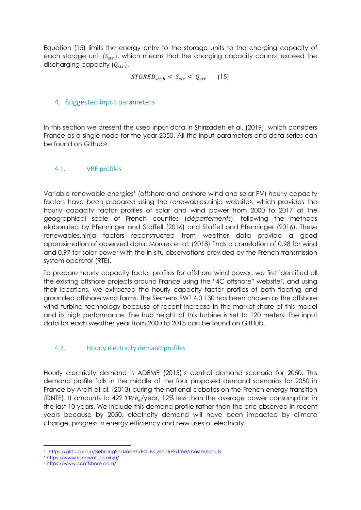Equation (15) limits the energy entry to the storage units to the charging capacity of each storage unit  $(S_{str})$ , which means that the charging capacity cannot exceed the discharging capacity  $(Q_{str})$ .

$$
STORED_{str,h} \leq S_{str} \leq Q_{str} \qquad (15)
$$

# 4. Suggested input parameters

In this section we present the used input data in Shirizadeh et al. (2019), which considers France as a single node for the year 2050. All the input parameters and data series can be found on Github5.

# 4.1. VRE profiles

Variable renewable energies' (offshore and onshore wind and solar PV) hourly capacity factors have been prepared using the renewables.ninja website<sup>6</sup>, which provides the hourly capacity factor profiles of solar and wind power from 2000 to 2017 at the geographical scale of French counties (*départements*), following the methods elaborated by Pfenninger and Staffell (2016) and Staffell and Pfenninger (2016). These renewables.ninja factors reconstructed from weather data provide a good approximation of observed data: Moraes et al. (2018) finds a correlation of 0.98 for wind and 0.97 for solar power with the in-situ observations provided by the French transmission system operator (RTE).

To prepare hourly capacity factor profiles for offshore wind power, we first identified all the existing offshore projects around France using the "4C offshore" website7, and using their locations, we extracted the hourly capacity factor profiles of both floating and grounded offshore wind farms. The Siemens SWT 4.0 130 has been chosen as the offshore wind turbine technology because of recent increase in the market share of this model and its high performance. The hub height of this turbine is set to 120 meters. The input data for each weather year from 2000 to 2018 can be found on GitHub.

# 4.2. Hourly electricity demand profiles

Hourly electricity demand is ADEME (2015)'s central demand scenario for 2050. This demand profile falls in the middle of the four proposed demand scenarios for 2050 in France by Arditi et al. (2013) during the national debates on the French energy transition (DNTE). It amounts to 422  $\text{TWh}_e/\text{year}$ , 12% less than the average power consumption in the last 10 years. We include this demand profile rather than the one observed in recent years because by 2050, electricity demand will have been impacted by climate change, progress in energy efficiency and new uses of electricity.

<sup>5</sup> https://github.com/BehrangShirizadeh/EOLES\_elecRES/tree/master/inputs

<sup>6</sup> https://www.renewables.ninja/

<sup>7</sup> https://www.4coffshore.com/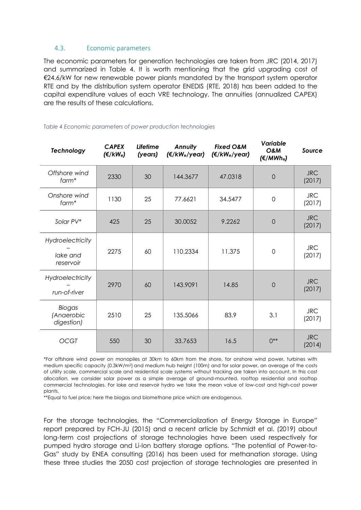#### 4.3. Economic parameters

The economic parameters for generation technologies are taken from JRC (2014, 2017) and summarized in Table 4. It is worth mentioning that the grid upgrading cost of €24.6/kW for new renewable power plants mandated by the transport system operator RTE and by the distribution system operator ENEDIS (RTE, 2018) has been added to the capital expenditure values of each VRE technology. The annuities (annualized CAPEX) are the results of these calculations.

| <b>Technology</b>                         | <b>CAPEX</b><br>(€/kWe) | <b>Lifetime</b><br>(years) | <b>Annuity</b><br>$(\epsilon/kW_e$ /year) | <b>Fixed O&amp;M</b><br>$(E/KW_e$ /year) | Variable<br>O&M<br>$(\epsilon/MWh_e)$ | Source               |
|-------------------------------------------|-------------------------|----------------------------|-------------------------------------------|------------------------------------------|---------------------------------------|----------------------|
| Offshore wind<br>farm*                    | 2330                    | 30                         | 144.3677                                  | 47.0318                                  | $\overline{0}$                        | <b>JRC</b><br>(2017) |
| Onshore wind<br>$form*$                   | 1130                    | 25                         | 77.6621                                   | 34.5477                                  | $\mathbf 0$                           | <b>JRC</b><br>(2017) |
| Solar PV*                                 | 425                     | 25                         | 30.0052                                   | 9.2262                                   | $\overline{0}$                        | <b>JRC</b><br>(2017) |
| Hydroelectricity<br>lake and<br>reservoir | 2275                    | 60                         | 110.2334                                  | 11.375                                   | $\mathbf 0$                           | <b>JRC</b><br>(2017) |
| Hydroelectricity<br>run-of-river          | 2970                    | 60                         | 143.9091                                  | 14.85                                    | $\overline{0}$                        | <b>JRC</b><br>(2017) |
| Biogas<br>(Anaerobic<br>digestion)        | 2510                    | 25                         | 135.5066                                  | 83.9                                     | 3.1                                   | <b>JRC</b><br>(2017) |
| <b>OCGT</b>                               | 550                     | 30                         | 33.7653                                   | 16.5                                     | $()^{**}$                             | <b>JRC</b><br>(2014) |

#### *Table 4 Economic parameters of power production technologies*

\*For offshore wind power on monopiles at 30km to 60km from the shore, for onshore wind power, turbines with medium specific capacity (0.3kW/m2) and medium hub height (100m) and for solar power, an average of the costs of utility scale, commercial scale and residential scale systems without tracking are taken into account. In this cost allocation, we consider solar power as a simple average of ground-mounted, rooftop residential and rooftop commercial technologies. For lake and reservoir hydro we take the mean value of low-cost and high-cost power plants.

\*\*Equal to fuel price; here the biogas and biomethane price which are endogenous.

For the storage technologies, the "Commercialization of Energy Storage in Europe" report prepared by FCH-JU (2015) and a recent article by Schmidt et al. (2019) about long-term cost projections of storage technologies have been used respectively for pumped hydro storage and Li-Ion battery storage options. "The potential of Power-to-Gas" study by ENEA consulting (2016) has been used for methanation storage. Using these three studies the 2050 cost projection of storage technologies are presented in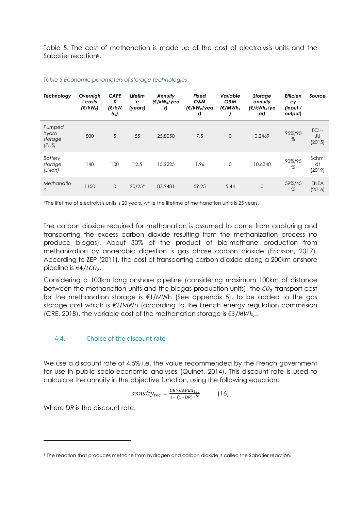Table 5. The cost of methanation is made up of the cost of electrolysis units and the Sabatier reaction8.

| Technology                               | Overnigh<br>t costs<br>$(\epsilon/kW_e)$ | <b>CAPE</b><br>X<br>(€/kW<br>h <sub>e</sub> | Lifetim<br>e<br>(years) | Annuity<br>(€/kW <sub>e</sub> /yea<br>r) | <b>Fixed</b><br>O&M<br>(€/kW <sub>e</sub> /yea<br>r) | Variable<br>O&M<br>(€/MWh <sub>e</sub> | Storage<br>annuity<br>(€/kWh <sub>e</sub> /ye<br>ar) | <b>Efficien</b><br>cy<br>$($ input $/$<br>output) | Source                |
|------------------------------------------|------------------------------------------|---------------------------------------------|-------------------------|------------------------------------------|------------------------------------------------------|----------------------------------------|------------------------------------------------------|---------------------------------------------------|-----------------------|
| Pumped<br>hydro<br>storage<br>(PHS)      | 500                                      | 5                                           | 55                      | 25,8050                                  | 7.5                                                  | $\mathbf{0}$                           | 0.2469                                               | 95%/90<br>%                                       | FCH-<br>JU<br>(2015)  |
| <b>Battery</b><br>storage<br>$(Li$ -lon) | 140                                      | 100                                         | 12.5                    | 15.2225                                  | 1.96                                                 | $\mathbf 0$                            | 10.6340                                              | 90%/95<br>$% \mathcal{N}$                         | Schmi<br>dt<br>(2019) |
| Methanatio<br>n                          | 1150                                     | 0                                           | $20/25*$                | 87.9481                                  | 59.25                                                | 5.44                                   | $\mathbf 0$                                          | 59%/45<br>%                                       | <b>ENEA</b><br>(2016) |

*Table 5 Economic parameters of storage technologies*

\*The lifetime of electrolysis units is 20 years, while the lifetime of methanation units is 25 years.

The carbon dioxide required for methanation is assumed to come from capturing and transporting the excess carbon dioxide resulting from the methanization process (to produce biogas). About 30% of the product of bio-methane production from methanization by anaerobic digestion is gas phase carbon dioxide (Ericsson, 2017). According to ZEP (2011), the cost of transporting carbon dioxide along a 200km onshore pipeline is €4/ $tCO<sub>2</sub>$ .

Considering a 100km long onshore pipeline (considering maximum 100km of distance between the methanation units and the biogas production units), the  $CO<sub>2</sub>$  transport cost for the methanation storage is €1/MWh (See appendix 5), to be added to the gas storage cost which is €2/MWh (according to the French energy regulation commission (CRE, 2018), the variable cost of the methanation storage is  $\epsilon$ 3/*MWh*.

#### 4.4. Choice of the discount rate

We use a discount rate of 4.5% i.e. the value recommended by the French government for use in public socio-economic analyses (Quinet, 2014). This discount rate is used to calculate the annuity in the objective function, using the following equation:

$$
annuity_{tec} = \frac{DR \times CAPEX_{tec}}{1 - (1 + DR)^{-lt}} \qquad (16)
$$

Where *DR* is the discount rate.

<sup>8</sup> The reaction that produces methane from hydrogen and carbon dioxide is called the Sabatier reaction.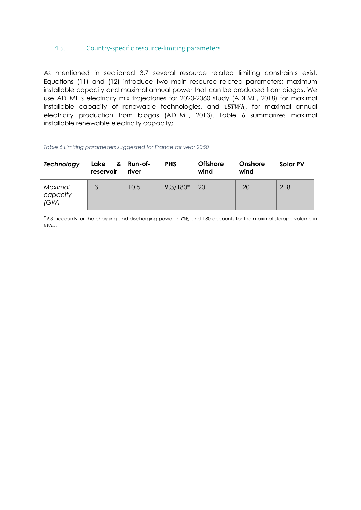#### 4.5. Country-specific resource-limiting parameters

As mentioned in sectioned 3.7 several resource related limiting constraints exist. Equations (11) and (12) introduce two main resource related parameters; maximum installable capacity and maximal annual power that can be produced from biogas. We use ADEME's electricity mix trajectories for 2020-2060 study (ADEME, 2018) for maximal installable capacity of renewable technologies, and  $15TWh_e$  for maximal annual electricity production from biogas (ADEME, 2013). Table 6 summarizes maximal installable renewable electricity capacity;

#### *Table 6 Limiting parameters suggested for France for year 2050*

| Technology                  | Lake & Run-of-<br>reservoir | river | <b>PHS</b> | <b>Offshore</b><br>wind | Onshore<br>wind | Solar PV |
|-----------------------------|-----------------------------|-------|------------|-------------------------|-----------------|----------|
| Maximal<br>capacity<br>(GW) | 13                          | 10.5  | $9.3/180*$ | 20                      | 120             | 218      |

 $*9.3$  accounts for the charging and discharging power in  $GW<sub>e</sub>$  and 180 accounts for the maximal storage volume in  $GWh_e.$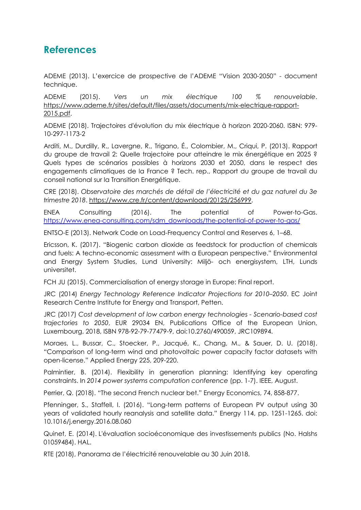# **References**

ADEME (2013). L'exercice de prospective de l'ADEME "Vision 2030-2050" - document technique.

ADEME (2015). *Vers un mix électrique 100 % renouvelable*. https://www.ademe.fr/sites/default/files/assets/documents/mix-electrique-rapport-2015.pdf.

ADEME (2018). Trajectoires d'évolution du mix électrique à horizon 2020-2060. ISBN: 979- 10-297-1173-2

Arditi, M., Durdilly, R., Lavergne, R., Trigano, É., Colombier, M., Criqui, P. (2013). Rapport du groupe de travail 2: Quelle trajectoire pour atteindre le mix énergétique en 2025 ? Quels types de scénarios possibles à horizons 2030 et 2050, dans le respect des engagements climatiques de la France ? Tech. rep., Rapport du groupe de travail du conseil national sur la Transition Energétique.

CRE (2018). *Observatoire des marchés de détail de l'électricité et du gaz naturel du 3e trimestre 2018*. https://www.cre.fr/content/download/20125/256999.

ENEA Consulting (2016). The potential of Power-to-Gas. https://www.enea-consulting.com/sdm\_downloads/the-potential-of-power-to-gas/

ENTSO-E (2013). Network Code on Load-Frequency Control and Reserves 6, 1–68.

Ericsson, K. (2017). "Biogenic carbon dioxide as feedstock for production of chemicals and fuels: A techno-economic assessment with a European perspective." Environmental and Energy System Studies, Lund University: Miljö- och energisystem, LTH, Lunds universitet.

FCH JU (2015). Commercialisation of energy storage in Europe: Final report.

JRC (2014) *Energy Technology Reference Indicator Projections for 2010–2050*. EC Joint Research Centre Institute for Energy and Transport, Petten.

JRC (2017) *Cost development of low carbon energy technologies - Scenario-based cost trajectories to 2050*, EUR 29034 EN, Publications Office of the European Union, Luxembourg, 2018, ISBN 978-92-79-77479-9, doi:10.2760/490059, JRC109894.

Moraes, L., Bussar, C., Stoecker, P., Jacqué, K., Chang, M., & Sauer, D. U. (2018). "Comparison of long-term wind and photovoltaic power capacity factor datasets with open-license." Applied Energy 225, 209-220.

Palmintier, B. (2014). Flexibility in generation planning: Identifying key operating constraints. In *2014 power systems computation conference* (pp. 1-7). IEEE, August.

Perrier, Q. (2018). "The second French nuclear bet." Energy Economics, 74, 858-877.

Pfenninger, S., Staffell, I. (2016). "Long-term patterns of European PV output using 30 years of validated hourly reanalysis and satellite data." Energy 114, pp. 1251-1265. doi: 10.1016/j.energy.2016.08.060

Quinet, E. (2014). L'évaluation socioéconomique des investissements publics (No. Halshs 01059484). HAL.

RTE (2018), Panorama de l'électricité renouvelable au 30 Juin 2018.